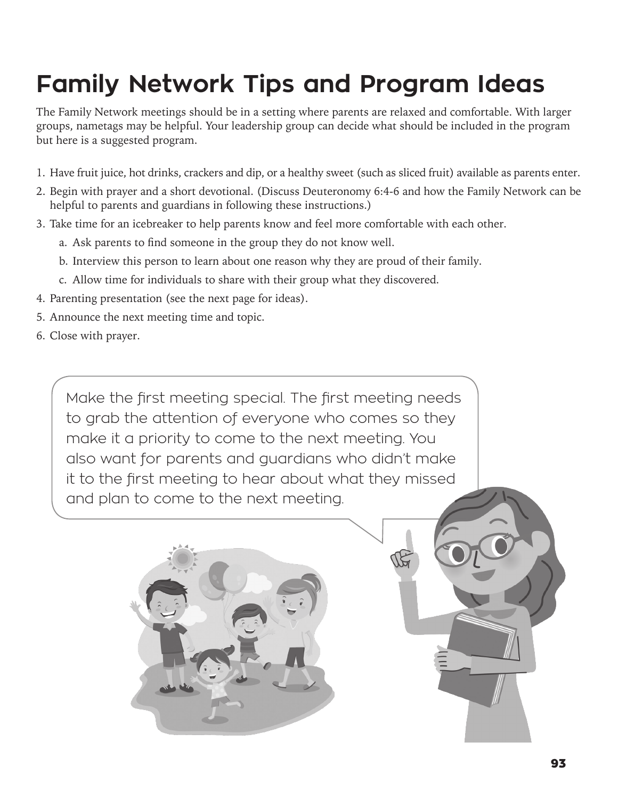# **Family Network Tips and Program Ideas**

The Family Network meetings should be in a setting where parents are relaxed and comfortable. With larger groups, nametags may be helpful. Your leadership group can decide what should be included in the program but here is a suggested program.

- 1. Have fruit juice, hot drinks, crackers and dip, or a healthy sweet (such as sliced fruit) available as parents enter.
- 2. Begin with prayer and a short devotional. (Discuss Deuteronomy 6:4-6 and how the Family Network can be helpful to parents and guardians in following these instructions.)
- 3. Take time for an icebreaker to help parents know and feel more comfortable with each other.
	- a. Ask parents to find someone in the group they do not know well.
	- b. Interview this person to learn about one reason why they are proud of their family.
	- c. Allow time for individuals to share with their group what they discovered.
- 4. Parenting presentation (see the next page for ideas).
- 5. Announce the next meeting time and topic.
- 6. Close with prayer.

Make the first meeting special. The first meeting needs to grab the attention of everyone who comes so they make it a priority to come to the next meeting. You also want for parents and guardians who didn't make it to the first meeting to hear about what they missed and plan to come to the next meeting.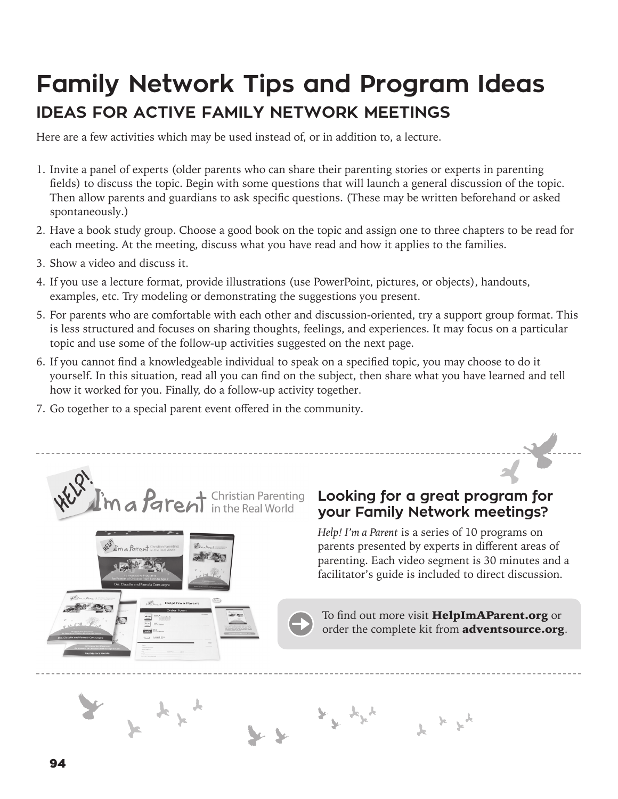### **Family Network Tips and Program Ideas IDEAS FOR ACTIVE FAMILY NETWORK MEETINGS**

Here are a few activities which may be used instead of, or in addition to, a lecture.

- 1. Invite a panel of experts (older parents who can share their parenting stories or experts in parenting fields) to discuss the topic. Begin with some questions that will launch a general discussion of the topic. Then allow parents and guardians to ask specific questions. (These may be written beforehand or asked spontaneously.)
- 2. Have a book study group. Choose a good book on the topic and assign one to three chapters to be read for each meeting. At the meeting, discuss what you have read and how it applies to the families.
- 3. Show a video and discuss it.
- 4. If you use a lecture format, provide illustrations (use PowerPoint, pictures, or objects), handouts, examples, etc. Try modeling or demonstrating the suggestions you present.
- 5. For parents who are comfortable with each other and discussion-oriented, try a support group format. This is less structured and focuses on sharing thoughts, feelings, and experiences. It may focus on a particular topic and use some of the follow-up activities suggested on the next page.
- 6. If you cannot find a knowledgeable individual to speak on a specified topic, you may choose to do it yourself. In this situation, read all you can find on the subject, then share what you have learned and tell how it worked for you. Finally, do a follow-up activity together.
- 7. Go together to a special parent event offered in the community.



I'm a Parent in

#### **Looking for a great program for your Family Network meetings?**

*Help! I'm a Parent* is a series of 10 programs on parents presented by experts in different areas of parenting. Each video segment is 30 minutes and a facilitator's guide is included to direct discussion.



 $\mathcal{F}^{\mathcal{F}}$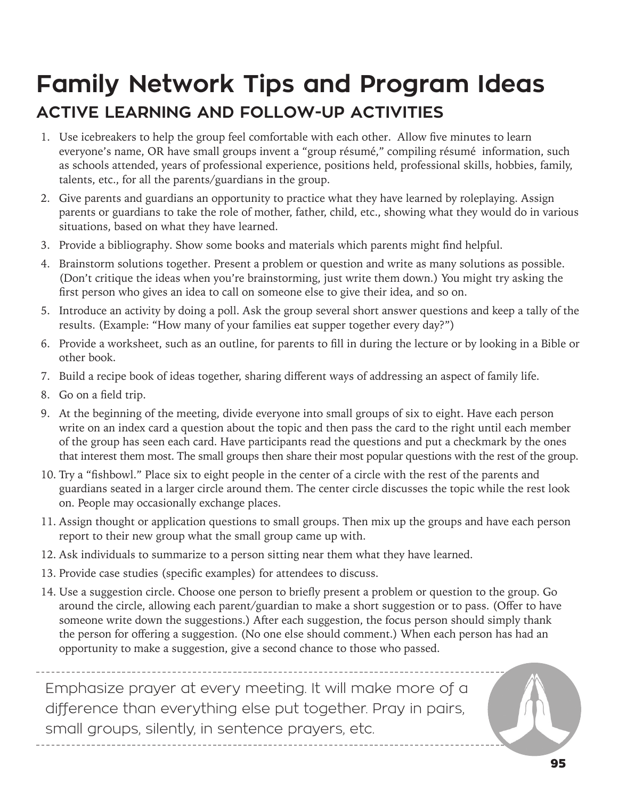## **Family Network Tips and Program Ideas ACTIVE LEARNING AND FOLLOW-UP ACTIVITIES**

- 1. Use icebreakers to help the group feel comfortable with each other. Allow five minutes to learn everyone's name, OR have small groups invent a "group résumé," compiling résumé information, such as schools attended, years of professional experience, positions held, professional skills, hobbies, family, talents, etc., for all the parents/guardians in the group.
- 2. Give parents and guardians an opportunity to practice what they have learned by roleplaying. Assign parents or guardians to take the role of mother, father, child, etc., showing what they would do in various situations, based on what they have learned.
- 3. Provide a bibliography. Show some books and materials which parents might find helpful.
- 4. Brainstorm solutions together. Present a problem or question and write as many solutions as possible. (Don't critique the ideas when you're brainstorming, just write them down.) You might try asking the first person who gives an idea to call on someone else to give their idea, and so on.
- 5. Introduce an activity by doing a poll. Ask the group several short answer questions and keep a tally of the results. (Example: "How many of your families eat supper together every day?")
- 6. Provide a worksheet, such as an outline, for parents to fill in during the lecture or by looking in a Bible or other book.
- 7. Build a recipe book of ideas together, sharing different ways of addressing an aspect of family life.
- 8. Go on a field trip.
- 9. At the beginning of the meeting, divide everyone into small groups of six to eight. Have each person write on an index card a question about the topic and then pass the card to the right until each member of the group has seen each card. Have participants read the questions and put a checkmark by the ones that interest them most. The small groups then share their most popular questions with the rest of the group.
- 10. Try a "fishbowl." Place six to eight people in the center of a circle with the rest of the parents and guardians seated in a larger circle around them. The center circle discusses the topic while the rest look on. People may occasionally exchange places.
- 11. Assign thought or application questions to small groups. Then mix up the groups and have each person report to their new group what the small group came up with.
- 12. Ask individuals to summarize to a person sitting near them what they have learned.
- 13. Provide case studies (specific examples) for attendees to discuss.
- 14. Use a suggestion circle. Choose one person to briefly present a problem or question to the group. Go around the circle, allowing each parent/guardian to make a short suggestion or to pass. (Offer to have someone write down the suggestions.) After each suggestion, the focus person should simply thank the person for offering a suggestion. (No one else should comment.) When each person has had an opportunity to make a suggestion, give a second chance to those who passed.

Emphasize prayer at every meeting. It will make more of a difference than everything else put together. Pray in pairs, small groups, silently, in sentence prayers, etc.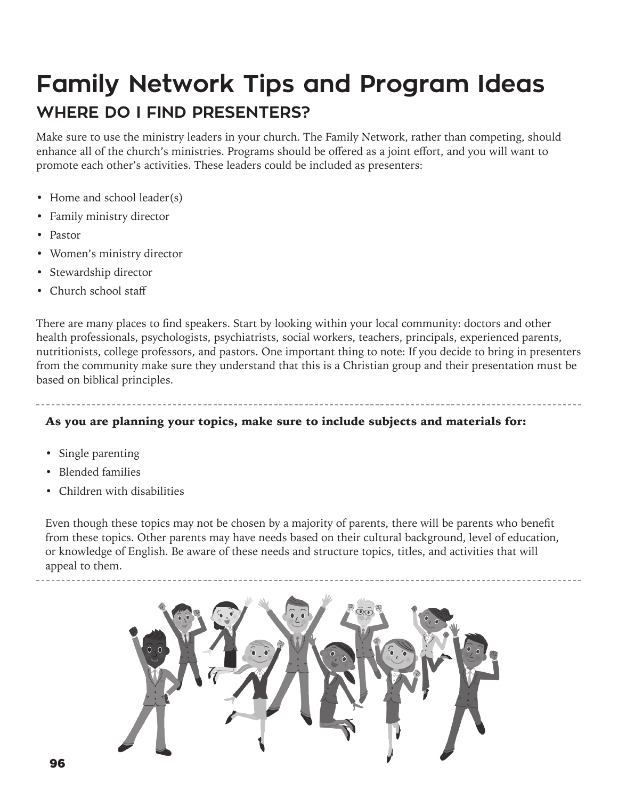## **Family Network Tips and Program Ideas WHERE DO I FIND PRESENTERS?**

Make sure to use the ministry leaders in your church. The Family Network, rather than competing, should enhance all of the church's ministries. Programs should be offered as a joint effort, and you will want to promote each other's activities. These leaders could be included as presenters:

- Home and school leader(s)
- Family ministry director
- Pastor
- Women's ministry director
- Stewardship director
- Church school staff

There are many places to find speakers. Start by looking within your local community: doctors and other health professionals, psychologists, psychiatrists, social workers, teachers, principals, experienced parents, nutritionists, college professors, and pastors. One important thing to note: If you decide to bring in presenters from the community make sure they understand that this is a Christian group and their presentation must be based on biblical principles.

#### As you are planning your topics, make sure to include subjects and materials for:

- Single parenting
- Blended families
- Children with disabilities

Even though these topics may not be chosen by a majority of parents, there will be parents who benefit from these topics. Other parents may have needs based on their cultural background, level of education, or knowledge of English. Be aware of these needs and structure topics, titles, and activities that will appeal to them.